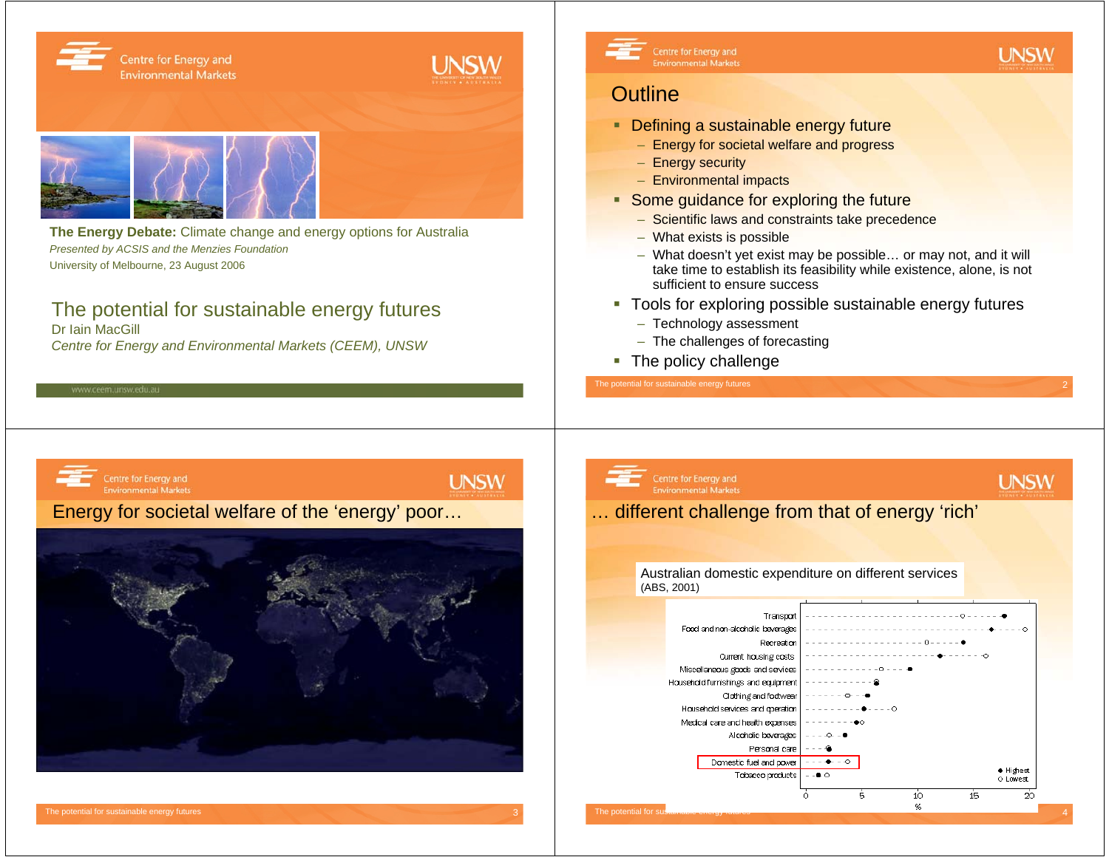

*Presented by ACSIS and the Menzies Foundation* University of Melbourne, 23 August 2006

### The potential for sustainable energy futures

Dr Iain MacGill *Centre for Energy and Environmental Markets (CEEM), UNSW*



Centre for Energy and **Environmental Markets** 

### **Outline**

- **Defining a sustainable energy future** 
	- Energy for societal welfare and progress
	- Energy security
	- Environmental impacts
- **Some guidance for exploring the future** 
	- Scientific laws and constraints take precedence
	- What exists is possible
	- What doesn't yet exist may be possible… or may not, and it will take time to establish its feasibility while existence, alone, is not sufficient to ensure success

**UNSW** 

- Tools for exploring possible sustainable energy futures
	- Technology assessment
	- The challenges of forecasting
- The policy challenge

The potential for sustainable energy futures



### Centre for Energy and **UNSW Environmental Markets** … different challenge from that of energy 'rich' Australian domestic expenditure on different services (ABS, 2001)Transpor Food and non-alcoholic beverages

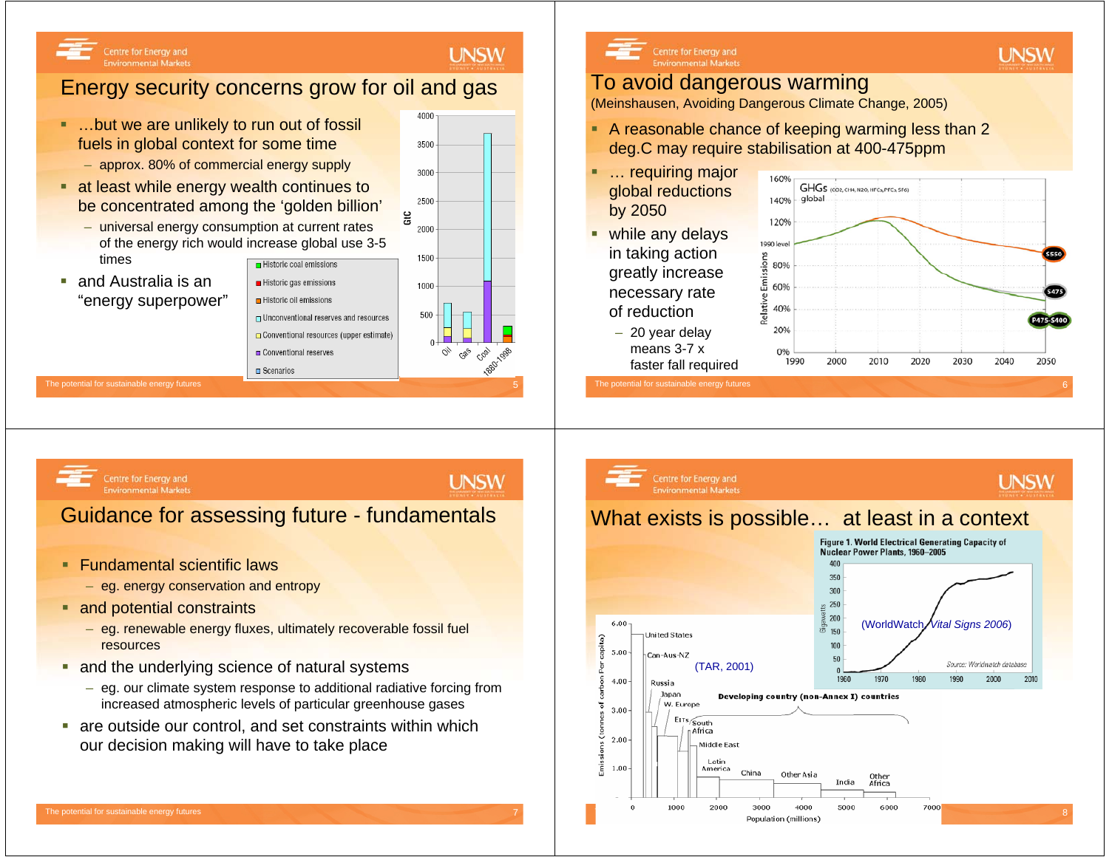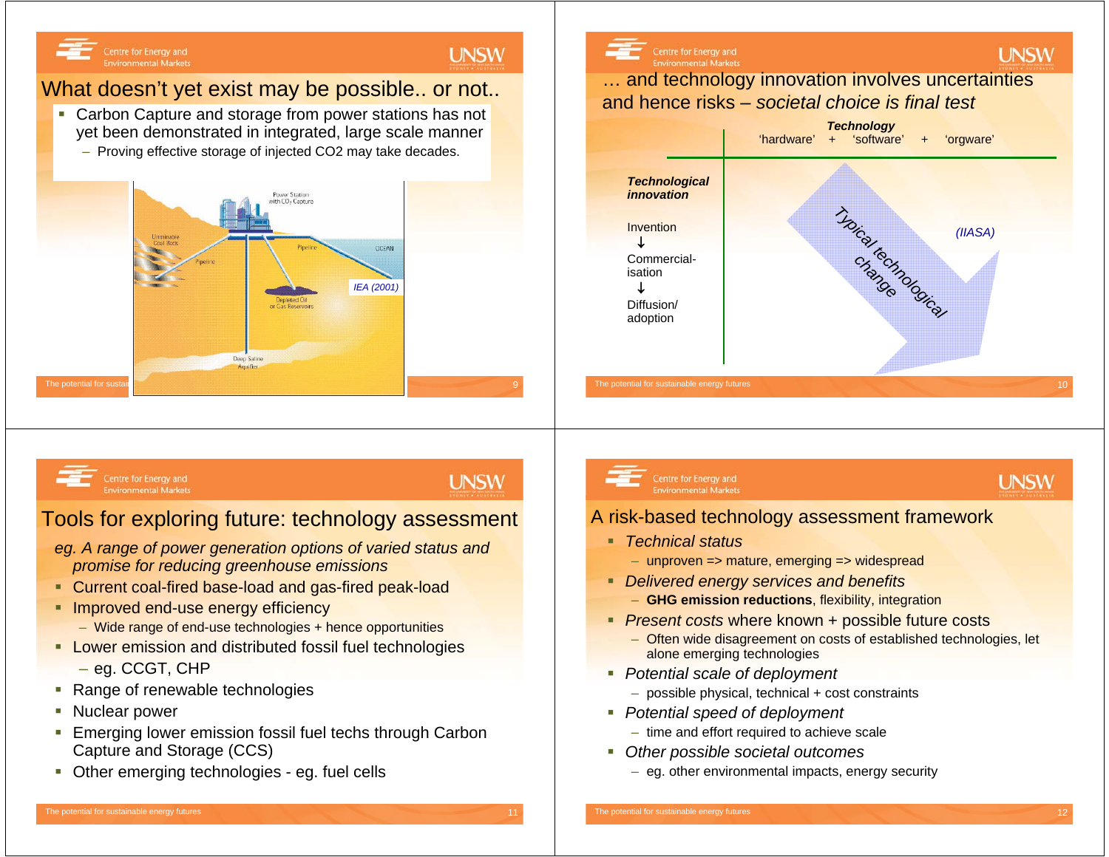### Centre for Energy and **Environmental Markets**

### What doesn't yet exist may be possible.. or not..

- Carbon Capture and storage from power stations has not yet been demonstrated in integrated, large scale manner
	- Proving effective storage of injected CO2 may take decades.





Centre for Energy and **Environmental Markets** 

### **UNSW**

**UNSW** 

### Tools for exploring future: technology assessment

- *eg. A range of power generation options of varied status and promise for reducing greenhouse emissions*
- Current coal-fired base-load and gas-fired peak-load
- **Improved end-use energy efficiency** 
	- Wide range of end-use technologies + hence opportunities
- **Lower emission and distributed fossil fuel technologies** 
	- eg. CCGT, CHP
- **Range of renewable technologies**
- Г Nuclear power
- $\mathcal{L}_{\mathcal{A}}$  Emerging lower emission fossil fuel techs through Carbon Capture and Storage (CCS)
- $\mathcal{L}_{\mathcal{A}}$ Other emerging technologies - eg. fuel cells

#### Centre for Energy and **Environmental Markets**

## **UNSW**

### A risk-based technology assessment framework

- *Technical status*
	- unproven => mature, emerging => widespread
- *Delivered energy services and benefits*
	- **GHG emission reductions**, flexibility, integration
- *Present costs* where known + possible future costs
	- Often wide disagreement on costs of established technologies, let alone emerging technologies
- *Potential scale of deployment* 
	- possible physical, technical + cost constraints
- *Potential speed of deployment*
	- time and effort required to achieve scale
- *Other possible societal outcomes*
	- eg. other environmental impacts, energy security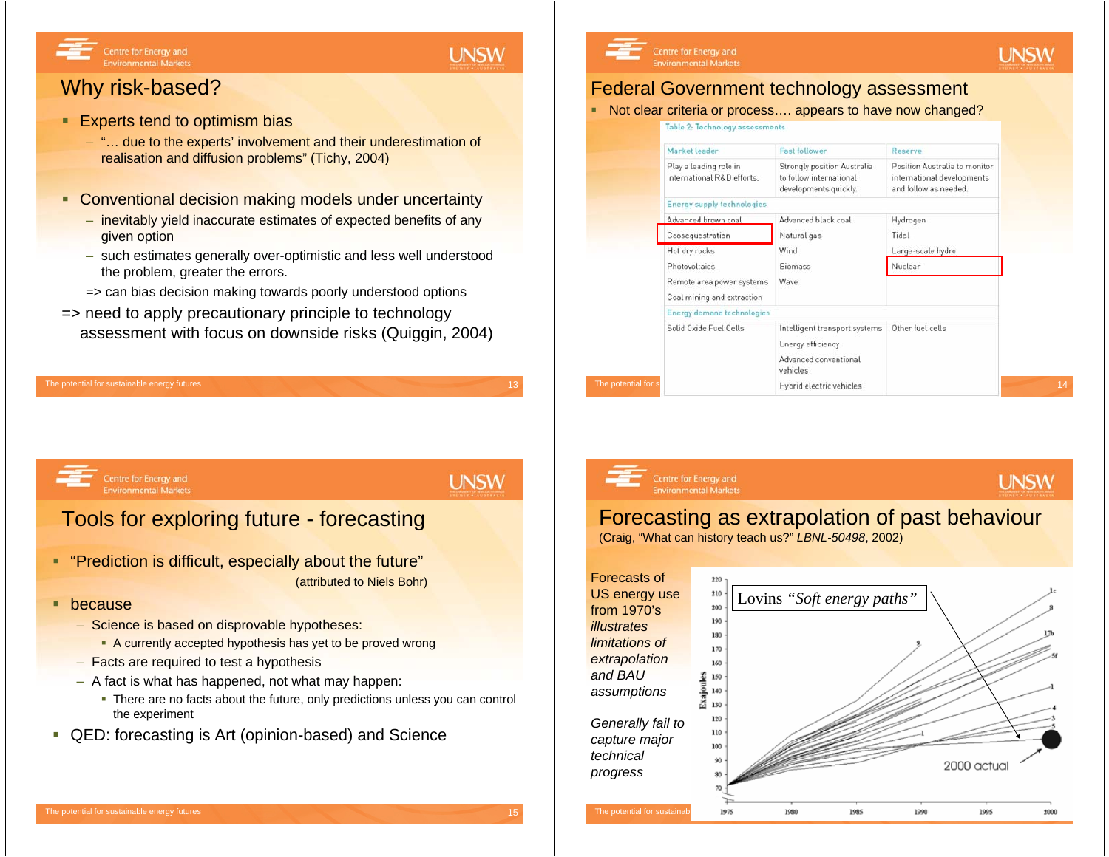### **UNSW**

### Why risk-based?

Centre for Energy and

**Environmental Markets** 

- $\blacksquare$  Experts tend to optimism bias
	- "… due to the experts' involvement and their underestimation of realisation and diffusion problems" (Tichy, 2004)
- **Conventional decision making models under uncertainty** 
	- inevitably yield inaccurate estimates of expected benefits of any given option
	- such estimates generally over-optimistic and less well understood the problem, greater the errors.
	- => can bias decision making towards poorly understood options
- => need to apply precautionary principle to technology assessment with focus on downside risks (Quiggin, 2004)

#### The potential for sustainable energy futures 13 April 2008 13 April 2009 13 April 2009 13 April 2009 13 April 2009 13 April 2009 13 April 2009 13 April 2009 13 April 2009 13 April 2009 13 April 2009 13 April 2009 13 April

#### Centre for Energy and **Environmental Markets**

### Federal Government technology assessment

■ Not clear criteria or process…. appears to have now changed?

**UNSW** 

**UNSW** 

Table 2: Technology assessments



Centre for Energy and **Environmental Markets** 

### Tools for exploring future - forecasting

- "Prediction is difficult, especially about the future" (attributed to Niels Bohr)
- **•** because
	- Science is based on disprovable hypotheses:
		- A currently accepted hypothesis has yet to be proved wrong
	- Facts are required to test a hypothesis
	- A fact is what has happened, not what may happen:
		- There are no facts about the future, only predictions unless you can control the experiment
- QED: forecasting is Art (opinion-based) and Science

## **UNSW**

# Centre for Energy and

### **Environmental Markets**

### Forecasting as extrapolation of past behaviour

(Craig, "What can history teach us?" *LBNL-50498*, 2002)

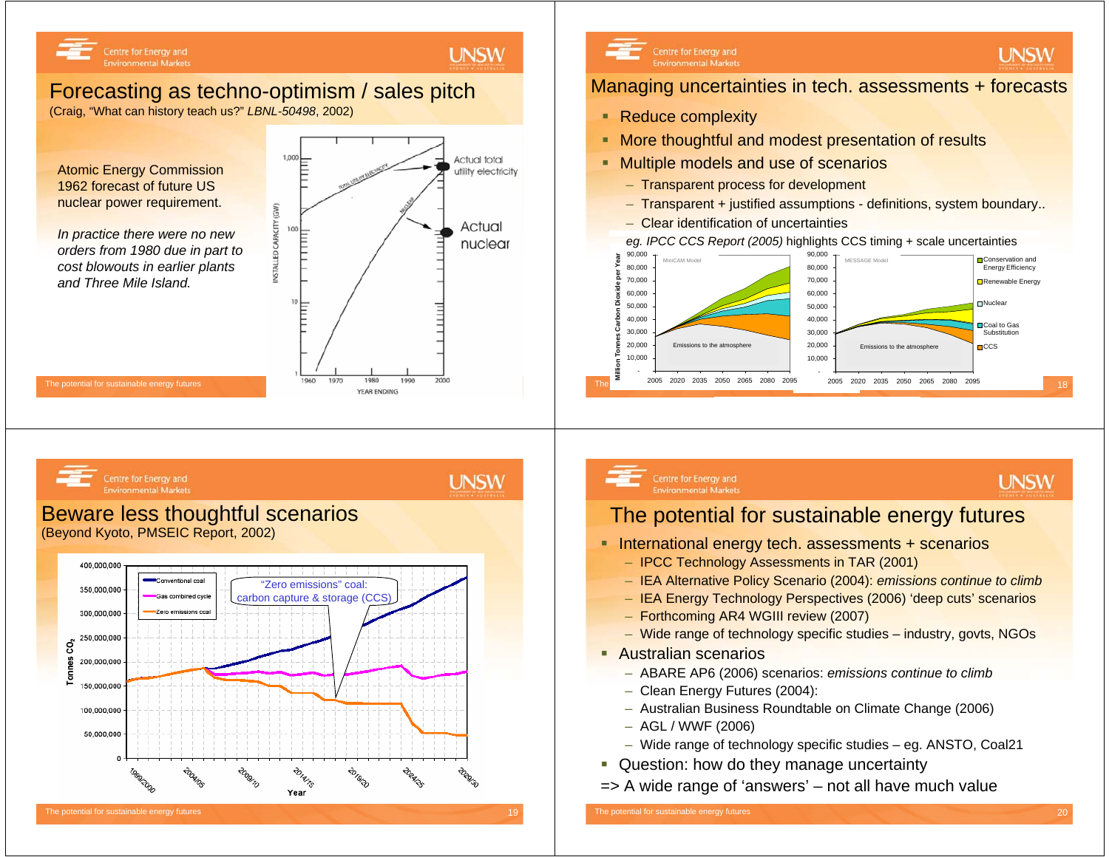

### Forecasting as techno-optimism / sales pitch

(Craig, "What can history teach us?" *LBNL-50498*, 2002)

Atomic Energy Commission 1962 forecast of future US nuclear power requirement.

Centre for Energy and

**Environmental Markets** 

*In practice there were no new orders from 1980 due in part to cost blowouts in earlier plants and Three Mile Island.*



**2018-20** 

Year

**PORT** 



### Managing uncertainties in tech. assessments + forecasts

- **Reduce complexity**
- **More thoughtful and modest presentation of results**
- **Multiple models and use of scenarios** 
	- Transparent process for development
	- Transparent + justified assumptions definitions, system boundary..
	- Clear identification of uncertainties

*eg. IPCC CCS Report (2005)* highlights CCS timing + scale uncertainties





### **UNSW**

**UNSW** 

### Centre for Energy and **Environmental Markets**

**UNSW** 

**UNSW** 

### The potential for sustainable energy futures

- **International energy tech. assessments + scenarios** 
	- IPCC Technology Assessments in TAR (2001)
	- IEA Alternative Policy Scenario (2004): *emissions continue to climb*
	- IEA Energy Technology Perspectives (2006) 'deep cuts' scenarios
	- Forthcoming AR4 WGIII review (2007)
	- Wide range of technology specific studies industry, govts, NGOs
- **Australian scenarios** 
	- ABARE AP6 (2006) scenarios: *emissions continue to climb*
	- Clean Energy Futures (2004):
	- Australian Business Roundtable on Climate Change (2006)
	- AGL / WWF (2006)
	- Wide range of technology specific studies eg. ANSTO, Coal21
- **Question: how do they manage uncertainty**
- => A wide range of 'answers' not all have much value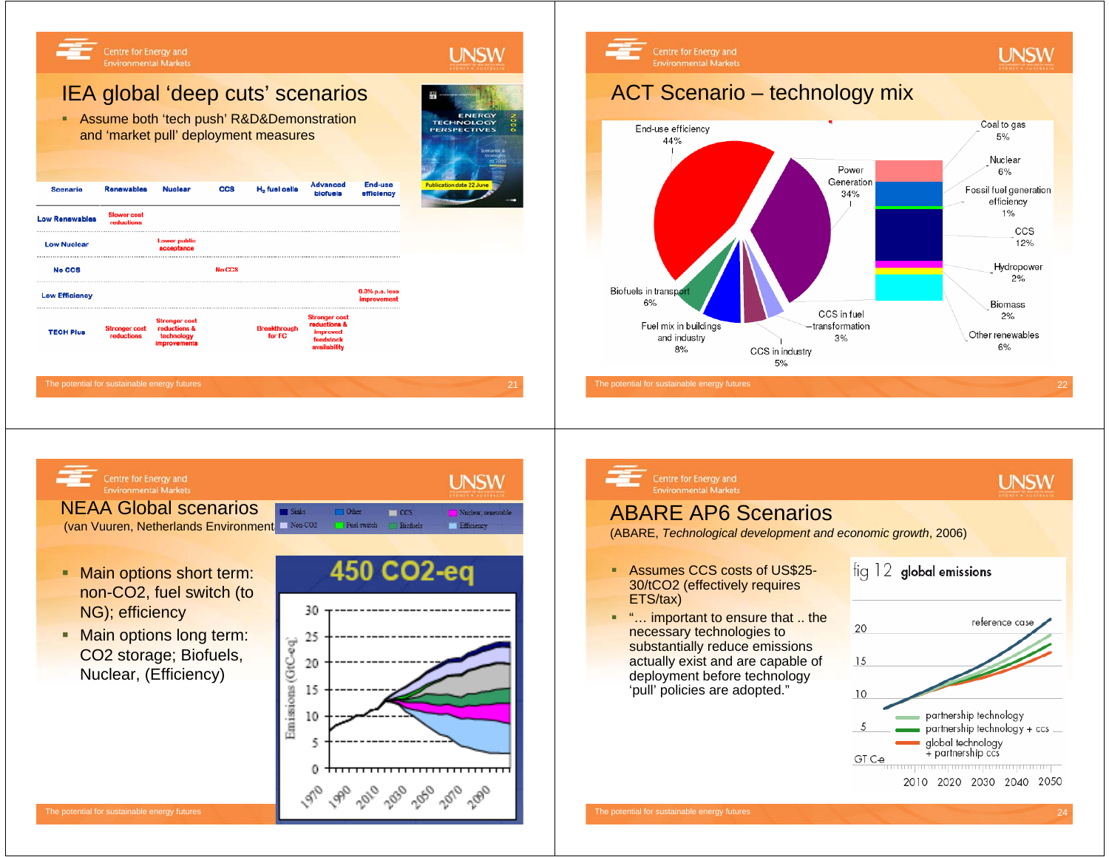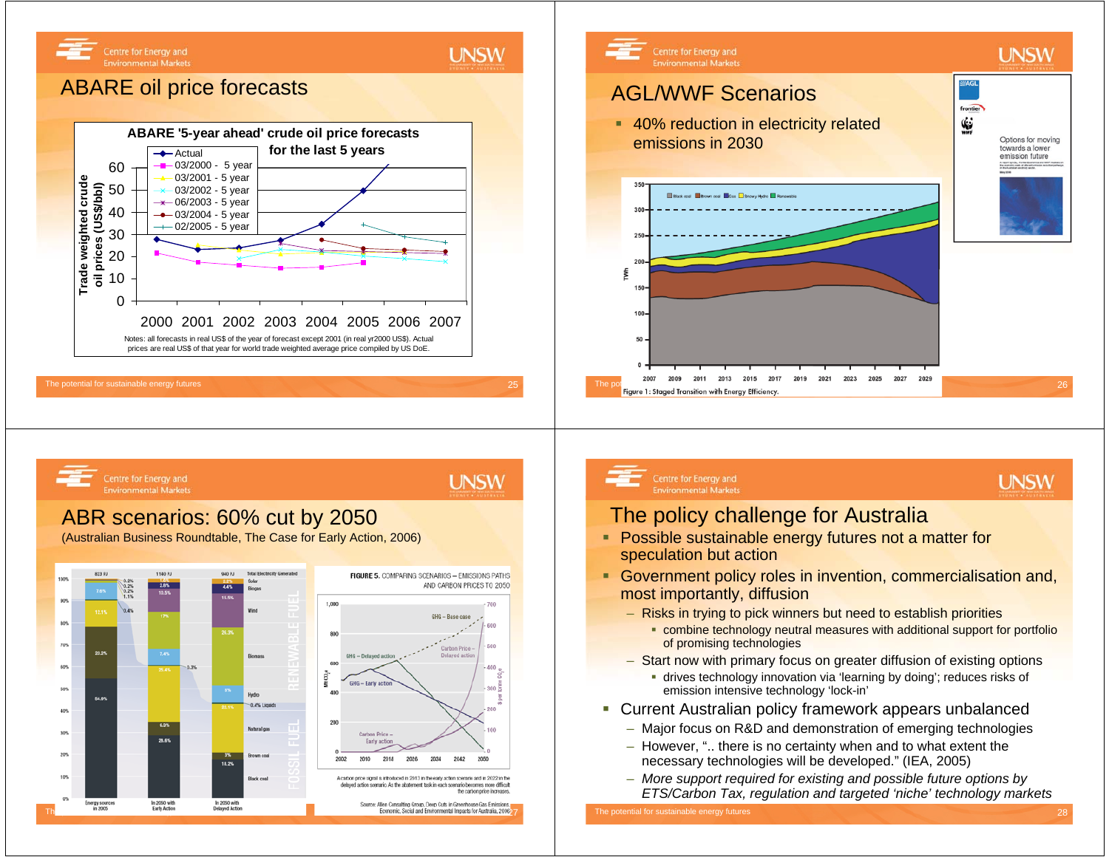